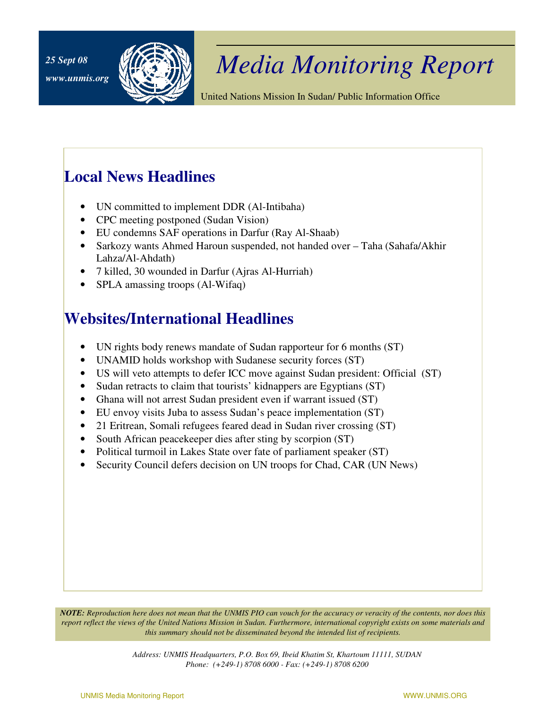

## *Media Monitoring Report 25 Sept 08*

United Nations Mission In Sudan/ Public Information Office

## **Local News Headlines**

- UN committed to implement DDR (Al-Intibaha)
- CPC meeting postponed (Sudan Vision)
- EU condemns SAF operations in Darfur (Ray Al-Shaab)
- Sarkozy wants Ahmed Haroun suspended, not handed over Taha (Sahafa/Akhir Lahza/Al-Ahdath)
- 7 killed, 30 wounded in Darfur (Ajras Al-Hurriah)
- SPLA amassing troops (Al-Wifaq)

## **Websites/International Headlines**

- UN rights body renews mandate of Sudan rapporteur for 6 months (ST)
- UNAMID holds workshop with Sudanese security forces (ST)
- US will veto attempts to defer ICC move against Sudan president: Official (ST)
- Sudan retracts to claim that tourists' kidnappers are Egyptians (ST)
- Ghana will not arrest Sudan president even if warrant issued (ST)
- EU envoy visits Juba to assess Sudan's peace implementation (ST)
- 21 Eritrean, Somali refugees feared dead in Sudan river crossing (ST)
- South African peacekeeper dies after sting by scorpion (ST)
- Political turmoil in Lakes State over fate of parliament speaker (ST)
- Security Council defers decision on UN troops for Chad, CAR (UN News)

*NOTE: Reproduction here does not mean that the UNMIS PIO can vouch for the accuracy or veracity of the contents, nor does this report reflect the views of the United Nations Mission in Sudan. Furthermore, international copyright exists on some materials and this summary should not be disseminated beyond the intended list of recipients.* 

> *Address: UNMIS Headquarters, P.O. Box 69, Ibeid Khatim St, Khartoum 11111, SUDAN Phone: (+249-1) 8708 6000 - Fax: (+249-1) 8708 6200*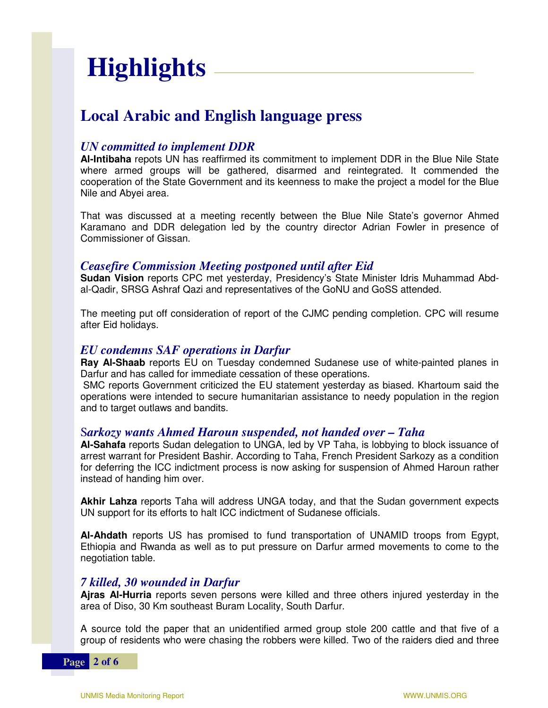# **Highlights**

## **Local Arabic and English language press**

#### *UN committed to implement DDR*

**Al-Intibaha** repots UN has reaffirmed its commitment to implement DDR in the Blue Nile State where armed groups will be gathered, disarmed and reintegrated. It commended the cooperation of the State Government and its keenness to make the project a model for the Blue Nile and Abyei area.

That was discussed at a meeting recently between the Blue Nile State's governor Ahmed Karamano and DDR delegation led by the country director Adrian Fowler in presence of Commissioner of Gissan.

#### *Ceasefire Commission Meeting postponed until after Eid*

**Sudan Vision** reports CPC met yesterday, Presidency's State Minister Idris Muhammad Abdal-Qadir, SRSG Ashraf Qazi and representatives of the GoNU and GoSS attended.

The meeting put off consideration of report of the CJMC pending completion. CPC will resume after Eid holidays.

#### *EU condemns SAF operations in Darfur*

**Ray Al-Shaab** reports EU on Tuesday condemned Sudanese use of white-painted planes in Darfur and has called for immediate cessation of these operations.

 SMC reports Government criticized the EU statement yesterday as biased. Khartoum said the operations were intended to secure humanitarian assistance to needy population in the region and to target outlaws and bandits.

#### S*arkozy wants Ahmed Haroun suspended, not handed over – Taha*

**Al-Sahafa** reports Sudan delegation to UNGA, led by VP Taha, is lobbying to block issuance of arrest warrant for President Bashir. According to Taha, French President Sarkozy as a condition for deferring the ICC indictment process is now asking for suspension of Ahmed Haroun rather instead of handing him over.

**Akhir Lahza** reports Taha will address UNGA today, and that the Sudan government expects UN support for its efforts to halt ICC indictment of Sudanese officials.

**Al-Ahdath** reports US has promised to fund transportation of UNAMID troops from Egypt, Ethiopia and Rwanda as well as to put pressure on Darfur armed movements to come to the negotiation table.

#### *7 killed, 30 wounded in Darfur*

**Ajras Al-Hurria** reports seven persons were killed and three others injured yesterday in the area of Diso, 30 Km southeast Buram Locality, South Darfur.

A source told the paper that an unidentified armed group stole 200 cattle and that five of a group of residents who were chasing the robbers were killed. Two of the raiders died and three

**Page 2 of 6**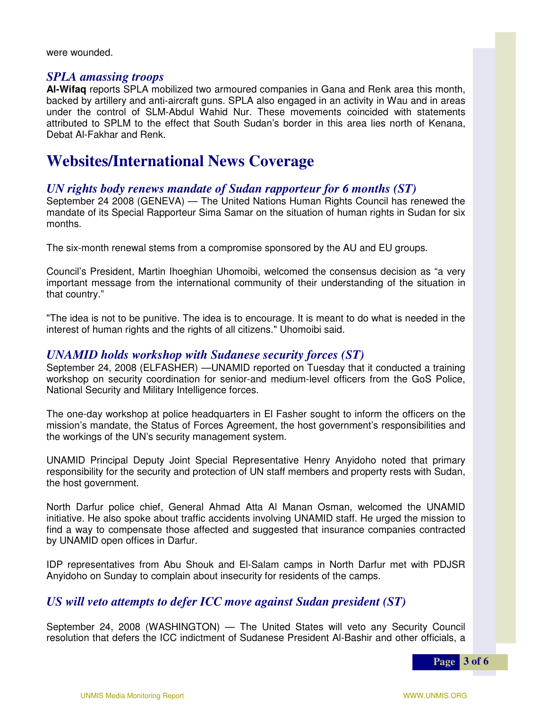were wounded.

#### *SPLA amassing troops*

**Al-Wifaq** reports SPLA mobilized two armoured companies in Gana and Renk area this month, backed by artillery and anti-aircraft guns. SPLA also engaged in an activity in Wau and in areas under the control of SLM-Abdul Wahid Nur. These movements coincided with statements attributed to SPLM to the effect that South Sudan's border in this area lies north of Kenana, Debat Al-Fakhar and Renk.

### **Websites/International News Coverage**

#### *UN rights body renews mandate of Sudan rapporteur for 6 months (ST)*

September 24 2008 (GENEVA) — The United Nations Human Rights Council has renewed the mandate of its Special Rapporteur Sima Samar on the situation of human rights in Sudan for six months.

The six-month renewal stems from a compromise sponsored by the AU and EU groups.

Council's President, Martin Ihoeghian Uhomoibi, welcomed the consensus decision as "a very important message from the international community of their understanding of the situation in that country."

"The idea is not to be punitive. The idea is to encourage. It is meant to do what is needed in the interest of human rights and the rights of all citizens." Uhomoibi said.

#### *UNAMID holds workshop with Sudanese security forces (ST)*

September 24, 2008 (ELFASHER) —UNAMID reported on Tuesday that it conducted a training workshop on security coordination for senior-and medium-level officers from the GoS Police, National Security and Military Intelligence forces.

The one-day workshop at police headquarters in El Fasher sought to inform the officers on the mission's mandate, the Status of Forces Agreement, the host government's responsibilities and the workings of the UN's security management system.

UNAMID Principal Deputy Joint Special Representative Henry Anyidoho noted that primary responsibility for the security and protection of UN staff members and property rests with Sudan, the host government.

North Darfur police chief, General Ahmad Atta Al Manan Osman, welcomed the UNAMID initiative. He also spoke about traffic accidents involving UNAMID staff. He urged the mission to find a way to compensate those affected and suggested that insurance companies contracted by UNAMID open offices in Darfur.

IDP representatives from Abu Shouk and El-Salam camps in North Darfur met with PDJSR Anyidoho on Sunday to complain about insecurity for residents of the camps.

#### *US will veto attempts to defer ICC move against Sudan president (ST)*

September 24, 2008 (WASHINGTON) — The United States will veto any Security Council resolution that defers the ICC indictment of Sudanese President Al-Bashir and other officials, a

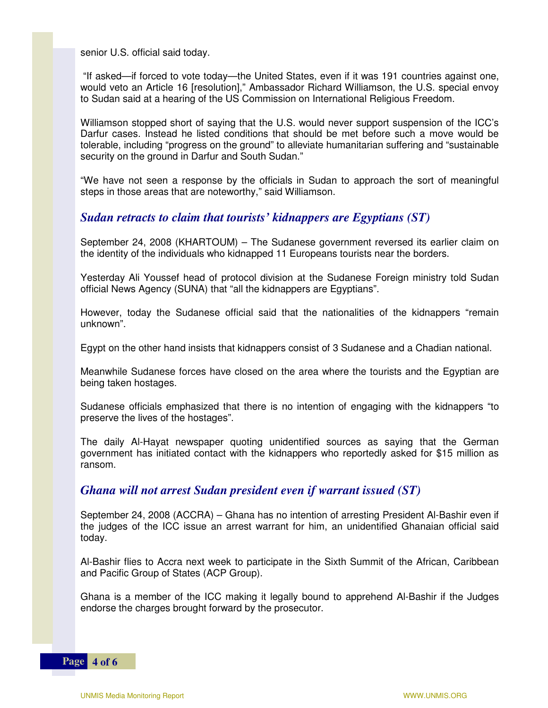senior U.S. official said today.

 "If asked—if forced to vote today—the United States, even if it was 191 countries against one, would veto an Article 16 [resolution]," Ambassador Richard Williamson, the U.S. special envoy to Sudan said at a hearing of the US Commission on International Religious Freedom.

Williamson stopped short of saying that the U.S. would never support suspension of the ICC's Darfur cases. Instead he listed conditions that should be met before such a move would be tolerable, including "progress on the ground" to alleviate humanitarian suffering and "sustainable security on the ground in Darfur and South Sudan."

"We have not seen a response by the officials in Sudan to approach the sort of meaningful steps in those areas that are noteworthy," said Williamson.

#### *Sudan retracts to claim that tourists' kidnappers are Egyptians (ST)*

September 24, 2008 (KHARTOUM) – The Sudanese government reversed its earlier claim on the identity of the individuals who kidnapped 11 Europeans tourists near the borders.

Yesterday Ali Youssef head of protocol division at the Sudanese Foreign ministry told Sudan official News Agency (SUNA) that "all the kidnappers are Egyptians".

However, today the Sudanese official said that the nationalities of the kidnappers "remain unknown".

Egypt on the other hand insists that kidnappers consist of 3 Sudanese and a Chadian national.

Meanwhile Sudanese forces have closed on the area where the tourists and the Egyptian are being taken hostages.

Sudanese officials emphasized that there is no intention of engaging with the kidnappers "to preserve the lives of the hostages".

The daily Al-Hayat newspaper quoting unidentified sources as saying that the German government has initiated contact with the kidnappers who reportedly asked for \$15 million as ransom.

#### *Ghana will not arrest Sudan president even if warrant issued (ST)*

September 24, 2008 (ACCRA) – Ghana has no intention of arresting President Al-Bashir even if the judges of the ICC issue an arrest warrant for him, an unidentified Ghanaian official said today.

Al-Bashir flies to Accra next week to participate in the Sixth Summit of the African, Caribbean and Pacific Group of States (ACP Group).

Ghana is a member of the ICC making it legally bound to apprehend Al-Bashir if the Judges endorse the charges brought forward by the prosecutor.

**Page** 4 of 6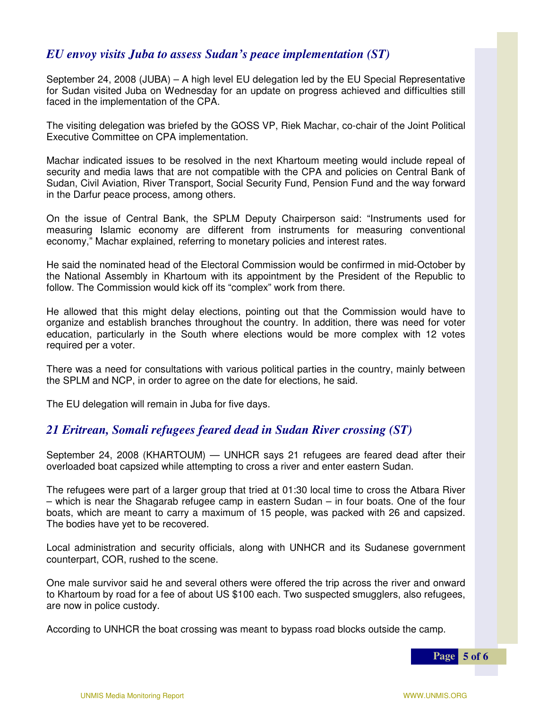#### *EU envoy visits Juba to assess Sudan's peace implementation (ST)*

September 24, 2008 (JUBA) – A high level EU delegation led by the EU Special Representative for Sudan visited Juba on Wednesday for an update on progress achieved and difficulties still faced in the implementation of the CPA.

The visiting delegation was briefed by the GOSS VP, Riek Machar, co-chair of the Joint Political Executive Committee on CPA implementation.

Machar indicated issues to be resolved in the next Khartoum meeting would include repeal of security and media laws that are not compatible with the CPA and policies on Central Bank of Sudan, Civil Aviation, River Transport, Social Security Fund, Pension Fund and the way forward in the Darfur peace process, among others.

On the issue of Central Bank, the SPLM Deputy Chairperson said: "Instruments used for measuring Islamic economy are different from instruments for measuring conventional economy," Machar explained, referring to monetary policies and interest rates.

He said the nominated head of the Electoral Commission would be confirmed in mid-October by the National Assembly in Khartoum with its appointment by the President of the Republic to follow. The Commission would kick off its "complex" work from there.

He allowed that this might delay elections, pointing out that the Commission would have to organize and establish branches throughout the country. In addition, there was need for voter education, particularly in the South where elections would be more complex with 12 votes required per a voter.

There was a need for consultations with various political parties in the country, mainly between the SPLM and NCP, in order to agree on the date for elections, he said.

The EU delegation will remain in Juba for five days.

#### *21 Eritrean, Somali refugees feared dead in Sudan River crossing (ST)*

September 24, 2008 (KHARTOUM) — UNHCR says 21 refugees are feared dead after their overloaded boat capsized while attempting to cross a river and enter eastern Sudan.

The refugees were part of a larger group that tried at 01:30 local time to cross the Atbara River – which is near the Shagarab refugee camp in eastern Sudan – in four boats. One of the four boats, which are meant to carry a maximum of 15 people, was packed with 26 and capsized. The bodies have yet to be recovered.

Local administration and security officials, along with UNHCR and its Sudanese government counterpart, COR, rushed to the scene.

One male survivor said he and several others were offered the trip across the river and onward<br>to Khartaum by read far a fac of about US \$100 seek. Two avenanted emugglere, also refugees to Khartoum by road for a fee of about US \$100 each. Two suspected smugglers, also refugees, are now in police custody.

According to UNHCR the boat crossing was meant to bypass road blocks outside the camp.

**Page 5 of 6**